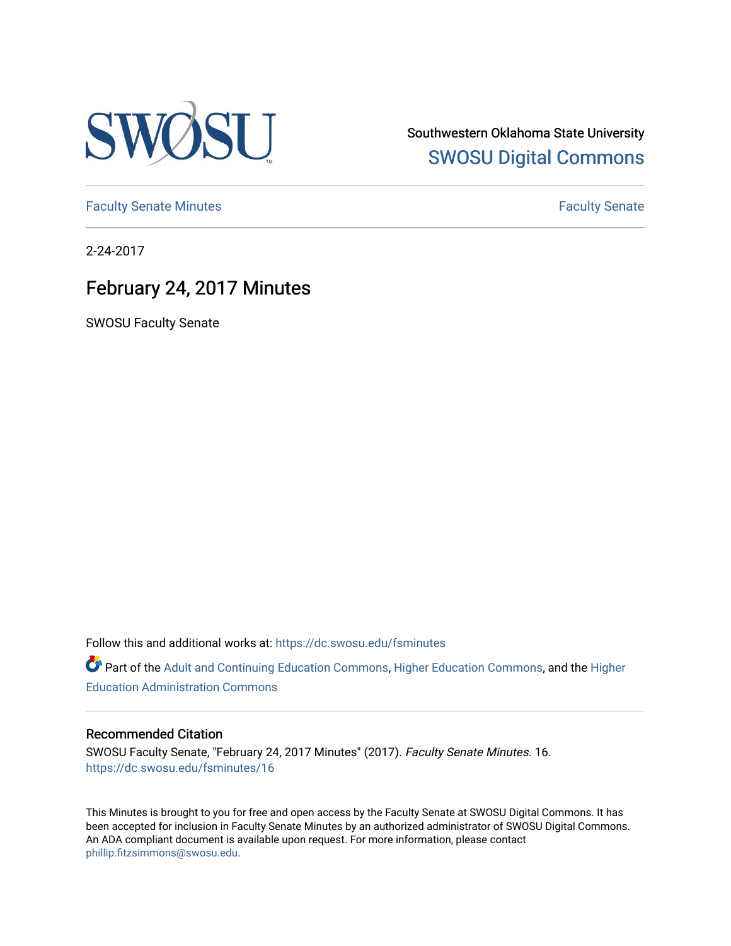

Southwestern Oklahoma State University [SWOSU Digital Commons](https://dc.swosu.edu/) 

[Faculty Senate Minutes](https://dc.swosu.edu/fsminutes) **Faculty** Senate Minutes

2-24-2017

# February 24, 2017 Minutes

SWOSU Faculty Senate

Follow this and additional works at: [https://dc.swosu.edu/fsminutes](https://dc.swosu.edu/fsminutes?utm_source=dc.swosu.edu%2Ffsminutes%2F16&utm_medium=PDF&utm_campaign=PDFCoverPages) 

Part of the [Adult and Continuing Education Commons,](http://network.bepress.com/hgg/discipline/1375?utm_source=dc.swosu.edu%2Ffsminutes%2F16&utm_medium=PDF&utm_campaign=PDFCoverPages) [Higher Education Commons,](http://network.bepress.com/hgg/discipline/1245?utm_source=dc.swosu.edu%2Ffsminutes%2F16&utm_medium=PDF&utm_campaign=PDFCoverPages) and the [Higher](http://network.bepress.com/hgg/discipline/791?utm_source=dc.swosu.edu%2Ffsminutes%2F16&utm_medium=PDF&utm_campaign=PDFCoverPages) [Education Administration Commons](http://network.bepress.com/hgg/discipline/791?utm_source=dc.swosu.edu%2Ffsminutes%2F16&utm_medium=PDF&utm_campaign=PDFCoverPages) 

#### Recommended Citation

SWOSU Faculty Senate, "February 24, 2017 Minutes" (2017). Faculty Senate Minutes. 16. [https://dc.swosu.edu/fsminutes/16](https://dc.swosu.edu/fsminutes/16?utm_source=dc.swosu.edu%2Ffsminutes%2F16&utm_medium=PDF&utm_campaign=PDFCoverPages) 

This Minutes is brought to you for free and open access by the Faculty Senate at SWOSU Digital Commons. It has been accepted for inclusion in Faculty Senate Minutes by an authorized administrator of SWOSU Digital Commons. An ADA compliant document is available upon request. For more information, please contact [phillip.fitzsimmons@swosu.edu](mailto:phillip.fitzsimmons@swosu.edu).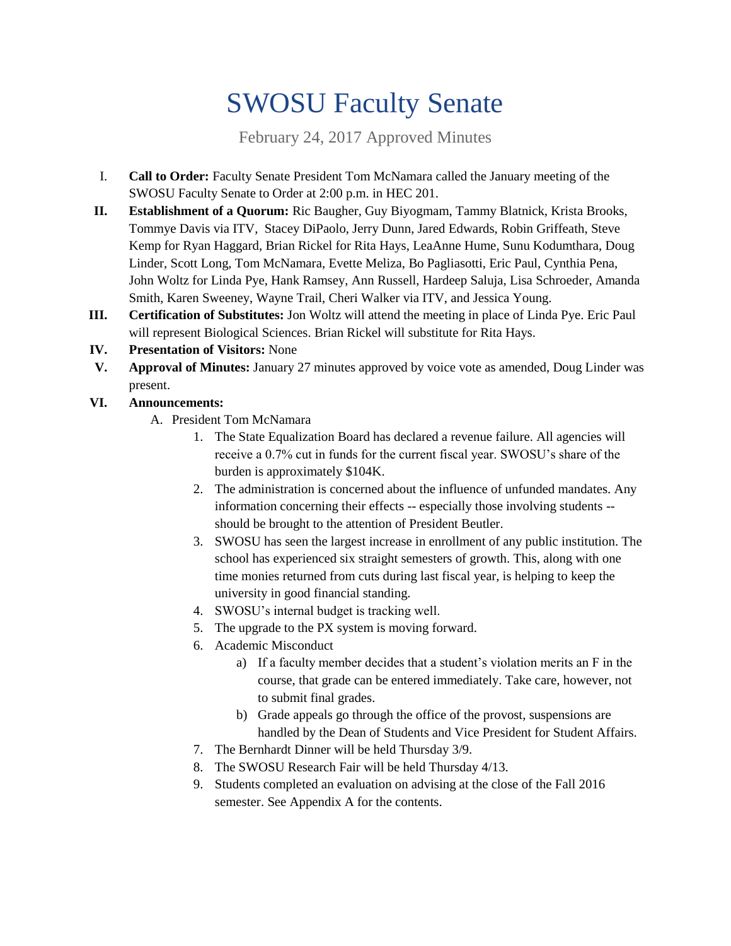# SWOSU Faculty Senate

February 24, 2017 Approved Minutes

- I. **Call to Order:** Faculty Senate President Tom McNamara called the January meeting of the SWOSU Faculty Senate to Order at 2:00 p.m. in HEC 201.
- **II. Establishment of a Quorum:** Ric Baugher, Guy Biyogmam, Tammy Blatnick, Krista Brooks, Tommye Davis via ITV, Stacey DiPaolo, Jerry Dunn, Jared Edwards, Robin Griffeath, Steve Kemp for Ryan Haggard, Brian Rickel for Rita Hays, LeaAnne Hume, Sunu Kodumthara, Doug Linder, Scott Long, Tom McNamara, Evette Meliza, Bo Pagliasotti, Eric Paul, Cynthia Pena, John Woltz for Linda Pye, Hank Ramsey, Ann Russell, Hardeep Saluja, Lisa Schroeder, Amanda Smith, Karen Sweeney, Wayne Trail, Cheri Walker via ITV, and Jessica Young.
- **III. Certification of Substitutes:** Jon Woltz will attend the meeting in place of Linda Pye. Eric Paul will represent Biological Sciences. Brian Rickel will substitute for Rita Hays.
- **IV. Presentation of Visitors:** None
- **V. Approval of Minutes:** January 27 minutes approved by voice vote as amended, Doug Linder was present.
- **VI. Announcements:**
	- A. President Tom McNamara
		- 1. The State Equalization Board has declared a revenue failure. All agencies will receive a 0.7% cut in funds for the current fiscal year. SWOSU's share of the burden is approximately \$104K.
		- 2. The administration is concerned about the influence of unfunded mandates. Any information concerning their effects -- especially those involving students - should be brought to the attention of President Beutler.
		- 3. SWOSU has seen the largest increase in enrollment of any public institution. The school has experienced six straight semesters of growth. This, along with one time monies returned from cuts during last fiscal year, is helping to keep the university in good financial standing.
		- 4. SWOSU's internal budget is tracking well.
		- 5. The upgrade to the PX system is moving forward.
		- 6. Academic Misconduct
			- a) If a faculty member decides that a student's violation merits an F in the course, that grade can be entered immediately. Take care, however, not to submit final grades.
			- b) Grade appeals go through the office of the provost, suspensions are handled by the Dean of Students and Vice President for Student Affairs.
		- 7. The Bernhardt Dinner will be held Thursday 3/9.
		- 8. The SWOSU Research Fair will be held Thursday 4/13.
		- 9. Students completed an evaluation on advising at the close of the Fall 2016 semester. See Appendix A for the contents.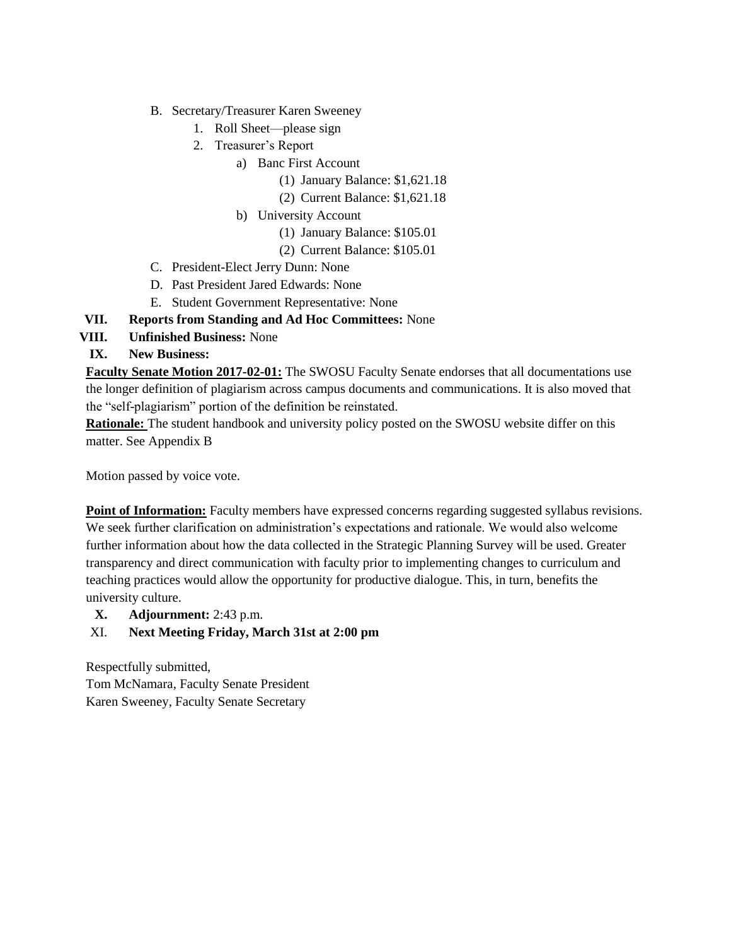- B. Secretary/Treasurer Karen Sweeney
	- 1. Roll Sheet—please sign
	- 2. Treasurer's Report
		- a) Banc First Account
			- (1) January Balance: \$1,621.18
			- (2) Current Balance: \$1,621.18
		- b) University Account
			- (1) January Balance: \$105.01
			- (2) Current Balance: \$105.01
- C. President-Elect Jerry Dunn: None
- D. Past President Jared Edwards: None
- E. Student Government Representative: None
- **VII. Reports from Standing and Ad Hoc Committees:** None
- **VIII. Unfinished Business:** None
- **IX. New Business:**

**Faculty Senate Motion 2017-02-01:** The SWOSU Faculty Senate endorses that all documentations use the longer definition of plagiarism across campus documents and communications. It is also moved that the "self-plagiarism" portion of the definition be reinstated.

**Rationale:** The student handbook and university policy posted on the SWOSU website differ on this matter. See Appendix B

Motion passed by voice vote.

**Point of Information:** Faculty members have expressed concerns regarding suggested syllabus revisions. We seek further clarification on administration's expectations and rationale. We would also welcome further information about how the data collected in the Strategic Planning Survey will be used. Greater transparency and direct communication with faculty prior to implementing changes to curriculum and teaching practices would allow the opportunity for productive dialogue. This, in turn, benefits the university culture.

**X. Adjournment:** 2:43 p.m.

#### XI. **Next Meeting Friday, March 31st at 2:00 pm**

Respectfully submitted, Tom McNamara, Faculty Senate President Karen Sweeney, Faculty Senate Secretary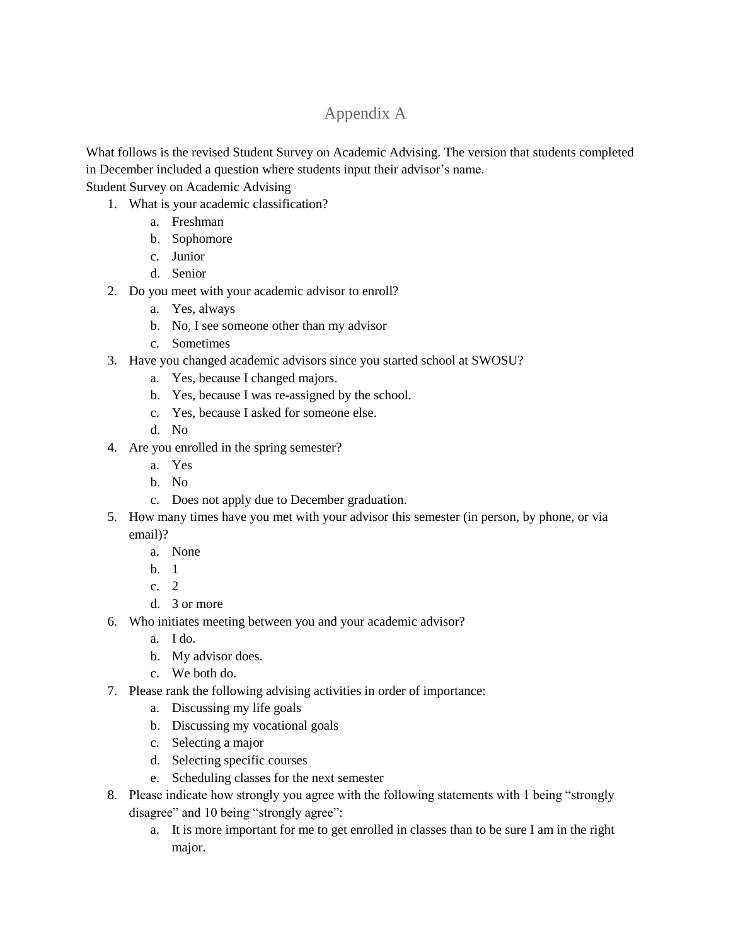## Appendix A

What follows is the revised Student Survey on Academic Advising. The version that students completed in December included a question where students input their advisor's name.

Student Survey on Academic Advising

- 1. What is your academic classification?
	- a. Freshman
	- b. Sophomore
	- c. Junior
	- d. Senior
- 2. Do you meet with your academic advisor to enroll?
	- a. Yes, always
	- b. No, I see someone other than my advisor
	- c. Sometimes
- 3. Have you changed academic advisors since you started school at SWOSU?
	- a. Yes, because I changed majors.
	- b. Yes, because I was re-assigned by the school.
	- c. Yes, because I asked for someone else.
	- d. No
- 4. Are you enrolled in the spring semester?
	- a. Yes
	- b. No
	- c. Does not apply due to December graduation.
- 5. How many times have you met with your advisor this semester (in person, by phone, or via email)?
	- a. None
	- b. 1
	- c. 2
	- d. 3 or more
- 6. Who initiates meeting between you and your academic advisor?
	- a. I do.
	- b. My advisor does.
	- c. We both do.
- 7. Please rank the following advising activities in order of importance:
	- a. Discussing my life goals
	- b. Discussing my vocational goals
	- c. Selecting a major
	- d. Selecting specific courses
	- e. Scheduling classes for the next semester
- 8. Please indicate how strongly you agree with the following statements with 1 being "strongly disagree" and 10 being "strongly agree":
	- a. It is more important for me to get enrolled in classes than to be sure I am in the right major.